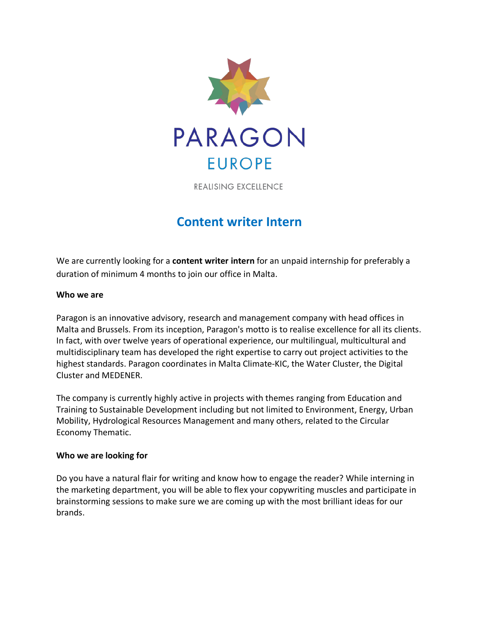

REALISING EXCELLENCE

# **Content writer Intern**

We are currently looking for a **content writer intern** for an unpaid internship for preferably a duration of minimum 4 months to join our office in Malta.

## **Who we are**

Paragon is an innovative advisory, research and management company with head offices in Malta and Brussels. From its inception, Paragon's motto is to realise excellence for all its clients. In fact, with over twelve years of operational experience, our multilingual, multicultural and multidisciplinary team has developed the right expertise to carry out project activities to the highest standards. Paragon coordinates in Malta Climate-KIC, the Water Cluster, the Digital Cluster and MEDENER.

The company is currently highly active in projects with themes ranging from Education and Training to Sustainable Development including but not limited to Environment, Energy, Urban Mobility, Hydrological Resources Management and many others, related to the Circular Economy Thematic.

## **Who we are looking for**

Do you have a natural flair for writing and know how to engage the reader? While interning in the marketing department, you will be able to flex your copywriting muscles and participate in brainstorming sessions to make sure we are coming up with the most brilliant ideas for our brands.